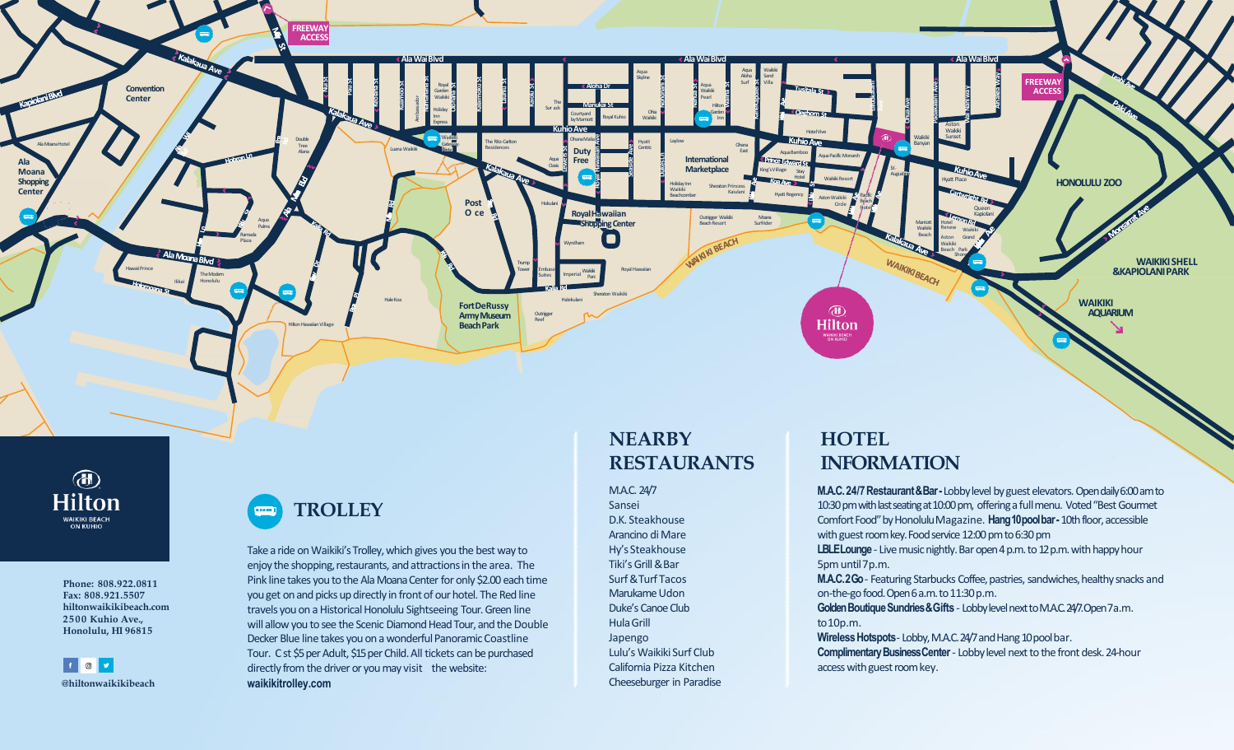

 $\bigcirc$ **Hilton** WAIKIKI BEACH<br>ON KUHIO

> **Phone: 808.922.0811 Fax: 808.921.5507 hiltonwaikikibeach.com 2500 Kuhio Ave., Honolulu, HI 96815**

 $\begin{array}{|c|c|c|c|c|}\hline \textbf{f} & \textbf{0} & \textbf{y} \end{array}$ **@hiltonwaikikibeach**



Take a ride on Waikiki's Trolley, which gives you the best way to enjoy the shopping, restaurants, and attractions in the area. The Pink line takes you to the Ala Moana Center for only \$2.00 each time you get on and picks up directly in front of our hotel. The Red line travels you on a Historical Honolulu Sightseeing Tour. Green line will allow you to see the Scenic Diamond Head Tour, and the Double Decker Blue line takes you on a wonderful Panoramic Coastline Tour. Cst \$5 per Adult, \$15 per Child. All tickets can be purchased directly from the driver or you may visit the website: **waikikitrolley.com**

# **NEARBY RESTAURANTS**

M.A.C. 24/7 Sansei D.K. Steakhouse Arancino di Mare Hy's Steakhouse Tiki'sGrill&Bar Surf&Turf Tacos Marukame Udon Duke's Canoe Club HulaGrill Japengo Lulu's Waikiki Surf Club California Pizza Kitchen Cheeseburger in Paradise

# **HOTEL INFORMATION**

**M.A.C. 24/7 Restaurant & Bar-Lobby level by guest elevators. Open daily 6:00 am to** 10:30 pm with last seating at 10:00 pm, offering a full menu. Voted "Best Gourmet Comfort Food" by Honolulu Magazine. **Hang10poolbar-** 10th floor, accessible with guest room key. Food service 12:00 pm to 6:30 pm LBLE Lounge - Live music nightly. Bar open 4 p.m. to 12 p.m. with happy hour 5pm until7p.m. **M.A.C.2Go**- Featuring Starbucks Coffee, pastries, sandwiches, healthy snacks and on-the-go food. Open 6 a.m. to 11:30 p.m. **Golden Boutique Sundries & Gifts** - Lobby level next to M.A.C. 24/7. Open 7a.m. to10p.m. **Wireless Hotspots**-Lobby, M.A.C. 24/7 and Hang 10 pool bar. **Complimentary Business Center** - Lobby level next to the front desk. 24-hour access with guest room key.